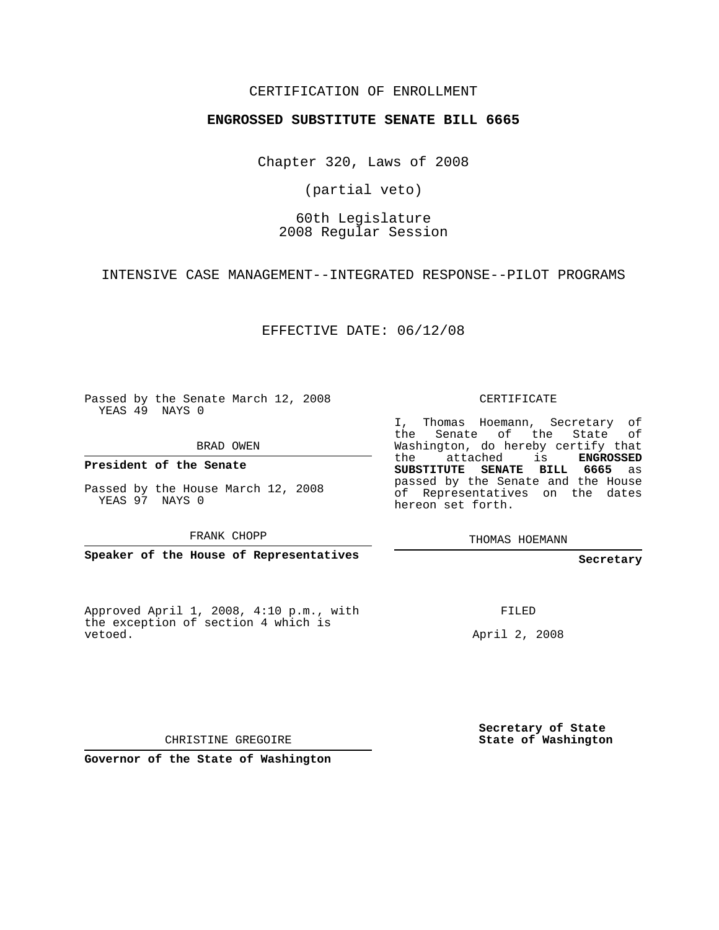### CERTIFICATION OF ENROLLMENT

#### **ENGROSSED SUBSTITUTE SENATE BILL 6665**

Chapter 320, Laws of 2008

(partial veto)

## 60th Legislature 2008 Regular Session

INTENSIVE CASE MANAGEMENT--INTEGRATED RESPONSE--PILOT PROGRAMS

EFFECTIVE DATE: 06/12/08

Passed by the Senate March 12, 2008 YEAS 49 NAYS 0

BRAD OWEN

**President of the Senate**

Passed by the House March 12, 2008 YEAS 97 NAYS 0

FRANK CHOPP

**Speaker of the House of Representatives**

Approved April 1, 2008, 4:10 p.m., with the exception of section 4 which is vetoed.

CERTIFICATE

I, Thomas Hoemann, Secretary of the Senate of the State Washington, do hereby certify that the attached is **ENGROSSED SUBSTITUTE SENATE BILL 6665** as passed by the Senate and the House of Representatives on the dates hereon set forth.

THOMAS HOEMANN

#### **Secretary**

FILED

April 2, 2008

**Secretary of State State of Washington**

CHRISTINE GREGOIRE

**Governor of the State of Washington**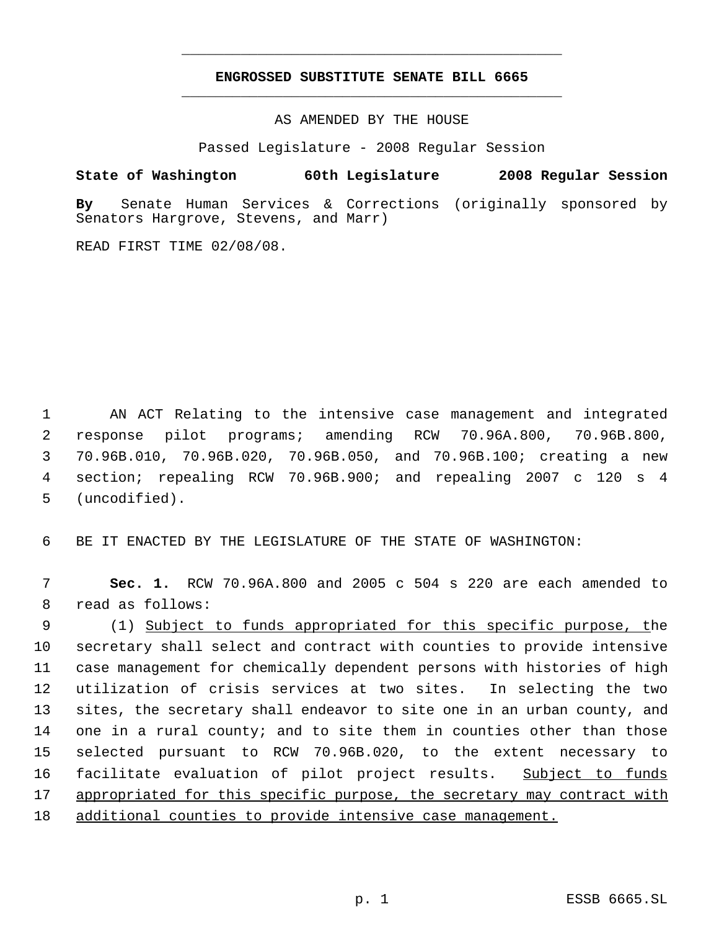# **ENGROSSED SUBSTITUTE SENATE BILL 6665** \_\_\_\_\_\_\_\_\_\_\_\_\_\_\_\_\_\_\_\_\_\_\_\_\_\_\_\_\_\_\_\_\_\_\_\_\_\_\_\_\_\_\_\_\_

\_\_\_\_\_\_\_\_\_\_\_\_\_\_\_\_\_\_\_\_\_\_\_\_\_\_\_\_\_\_\_\_\_\_\_\_\_\_\_\_\_\_\_\_\_

AS AMENDED BY THE HOUSE

Passed Legislature - 2008 Regular Session

**State of Washington 60th Legislature 2008 Regular Session**

**By** Senate Human Services & Corrections (originally sponsored by Senators Hargrove, Stevens, and Marr)

READ FIRST TIME 02/08/08.

 AN ACT Relating to the intensive case management and integrated response pilot programs; amending RCW 70.96A.800, 70.96B.800, 70.96B.010, 70.96B.020, 70.96B.050, and 70.96B.100; creating a new section; repealing RCW 70.96B.900; and repealing 2007 c 120 s 4 (uncodified).

BE IT ENACTED BY THE LEGISLATURE OF THE STATE OF WASHINGTON:

 **Sec. 1.** RCW 70.96A.800 and 2005 c 504 s 220 are each amended to read as follows:

 (1) Subject to funds appropriated for this specific purpose, the secretary shall select and contract with counties to provide intensive case management for chemically dependent persons with histories of high utilization of crisis services at two sites. In selecting the two sites, the secretary shall endeavor to site one in an urban county, and one in a rural county; and to site them in counties other than those selected pursuant to RCW 70.96B.020, to the extent necessary to 16 facilitate evaluation of pilot project results. Subject to funds appropriated for this specific purpose, the secretary may contract with additional counties to provide intensive case management.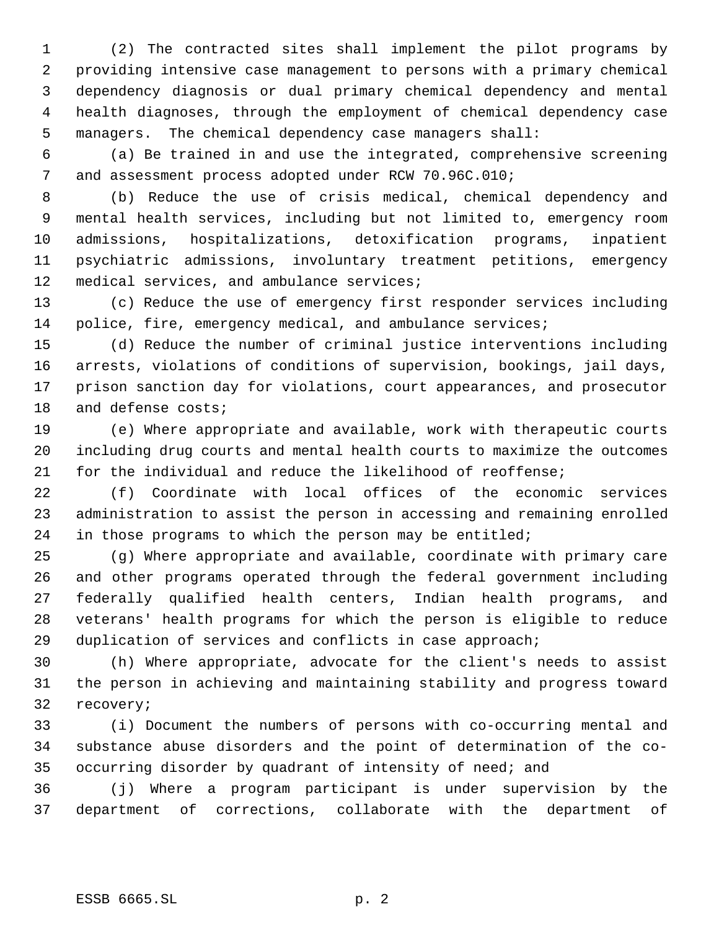(2) The contracted sites shall implement the pilot programs by providing intensive case management to persons with a primary chemical dependency diagnosis or dual primary chemical dependency and mental health diagnoses, through the employment of chemical dependency case managers. The chemical dependency case managers shall:

 (a) Be trained in and use the integrated, comprehensive screening and assessment process adopted under RCW 70.96C.010;

 (b) Reduce the use of crisis medical, chemical dependency and mental health services, including but not limited to, emergency room admissions, hospitalizations, detoxification programs, inpatient psychiatric admissions, involuntary treatment petitions, emergency 12 medical services, and ambulance services;

 (c) Reduce the use of emergency first responder services including 14 police, fire, emergency medical, and ambulance services;

 (d) Reduce the number of criminal justice interventions including arrests, violations of conditions of supervision, bookings, jail days, prison sanction day for violations, court appearances, and prosecutor and defense costs;

 (e) Where appropriate and available, work with therapeutic courts including drug courts and mental health courts to maximize the outcomes for the individual and reduce the likelihood of reoffense;

 (f) Coordinate with local offices of the economic services administration to assist the person in accessing and remaining enrolled in those programs to which the person may be entitled;

 (g) Where appropriate and available, coordinate with primary care and other programs operated through the federal government including federally qualified health centers, Indian health programs, and veterans' health programs for which the person is eligible to reduce duplication of services and conflicts in case approach;

 (h) Where appropriate, advocate for the client's needs to assist the person in achieving and maintaining stability and progress toward recovery;

 (i) Document the numbers of persons with co-occurring mental and substance abuse disorders and the point of determination of the co-occurring disorder by quadrant of intensity of need; and

 (j) Where a program participant is under supervision by the department of corrections, collaborate with the department of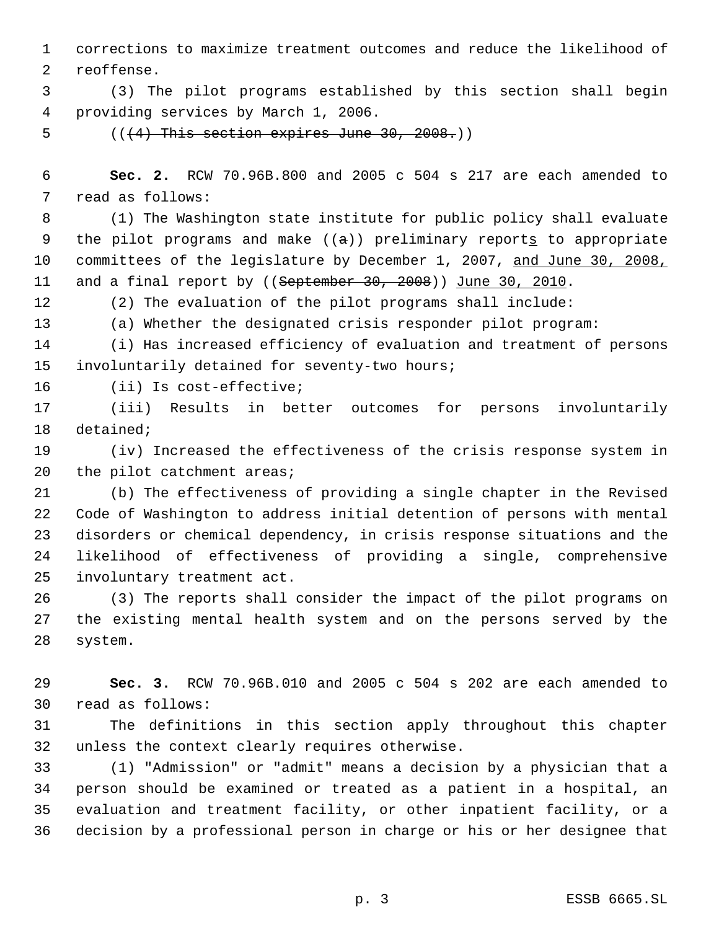corrections to maximize treatment outcomes and reduce the likelihood of reoffense.

 (3) The pilot programs established by this section shall begin providing services by March 1, 2006.

5  $((+4)$  This section expires June 30, 2008.)

 **Sec. 2.** RCW 70.96B.800 and 2005 c 504 s 217 are each amended to read as follows:

 (1) The Washington state institute for public policy shall evaluate 9 the pilot programs and make  $((a))$  preliminary reports to appropriate committees of the legislature by December 1, 2007, and June 30, 2008, 11 and a final report by ((September 30, 2008)) June 30, 2010.

(2) The evaluation of the pilot programs shall include:

(a) Whether the designated crisis responder pilot program:

 (i) Has increased efficiency of evaluation and treatment of persons involuntarily detained for seventy-two hours;

(ii) Is cost-effective;

 (iii) Results in better outcomes for persons involuntarily detained;

 (iv) Increased the effectiveness of the crisis response system in 20 the pilot catchment areas;

 (b) The effectiveness of providing a single chapter in the Revised Code of Washington to address initial detention of persons with mental disorders or chemical dependency, in crisis response situations and the likelihood of effectiveness of providing a single, comprehensive involuntary treatment act.

 (3) The reports shall consider the impact of the pilot programs on the existing mental health system and on the persons served by the system.

 **Sec. 3.** RCW 70.96B.010 and 2005 c 504 s 202 are each amended to read as follows:

 The definitions in this section apply throughout this chapter unless the context clearly requires otherwise.

 (1) "Admission" or "admit" means a decision by a physician that a person should be examined or treated as a patient in a hospital, an evaluation and treatment facility, or other inpatient facility, or a decision by a professional person in charge or his or her designee that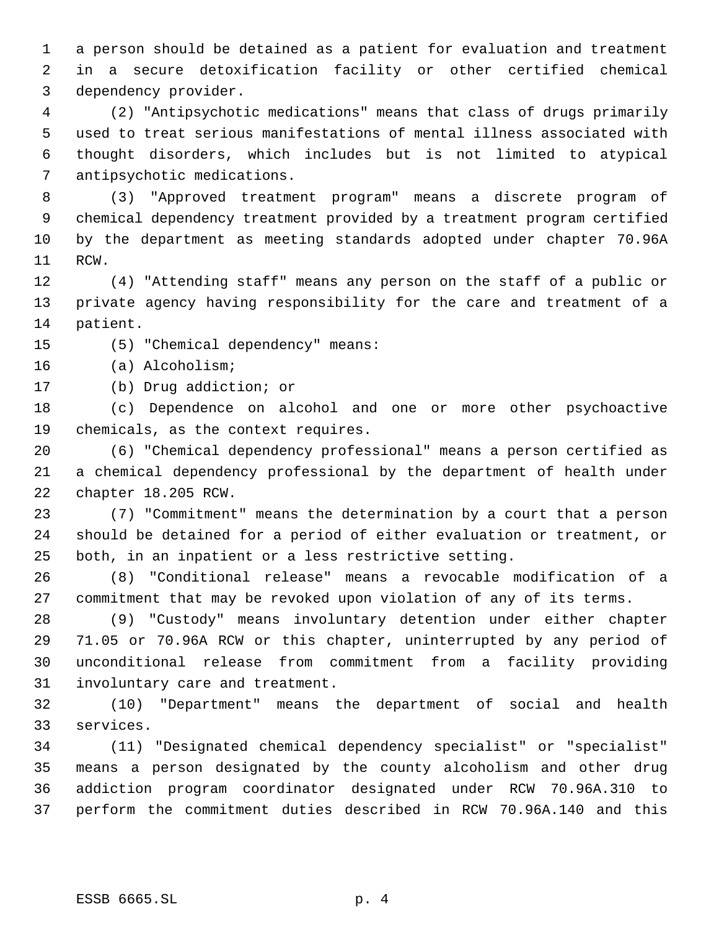a person should be detained as a patient for evaluation and treatment in a secure detoxification facility or other certified chemical dependency provider.

 (2) "Antipsychotic medications" means that class of drugs primarily used to treat serious manifestations of mental illness associated with thought disorders, which includes but is not limited to atypical antipsychotic medications.

 (3) "Approved treatment program" means a discrete program of chemical dependency treatment provided by a treatment program certified by the department as meeting standards adopted under chapter 70.96A RCW.

 (4) "Attending staff" means any person on the staff of a public or private agency having responsibility for the care and treatment of a patient.

(5) "Chemical dependency" means:

(a) Alcoholism;

(b) Drug addiction; or

 (c) Dependence on alcohol and one or more other psychoactive chemicals, as the context requires.

 (6) "Chemical dependency professional" means a person certified as a chemical dependency professional by the department of health under chapter 18.205 RCW.

 (7) "Commitment" means the determination by a court that a person should be detained for a period of either evaluation or treatment, or both, in an inpatient or a less restrictive setting.

 (8) "Conditional release" means a revocable modification of a commitment that may be revoked upon violation of any of its terms.

 (9) "Custody" means involuntary detention under either chapter 71.05 or 70.96A RCW or this chapter, uninterrupted by any period of unconditional release from commitment from a facility providing involuntary care and treatment.

 (10) "Department" means the department of social and health services.

 (11) "Designated chemical dependency specialist" or "specialist" means a person designated by the county alcoholism and other drug addiction program coordinator designated under RCW 70.96A.310 to perform the commitment duties described in RCW 70.96A.140 and this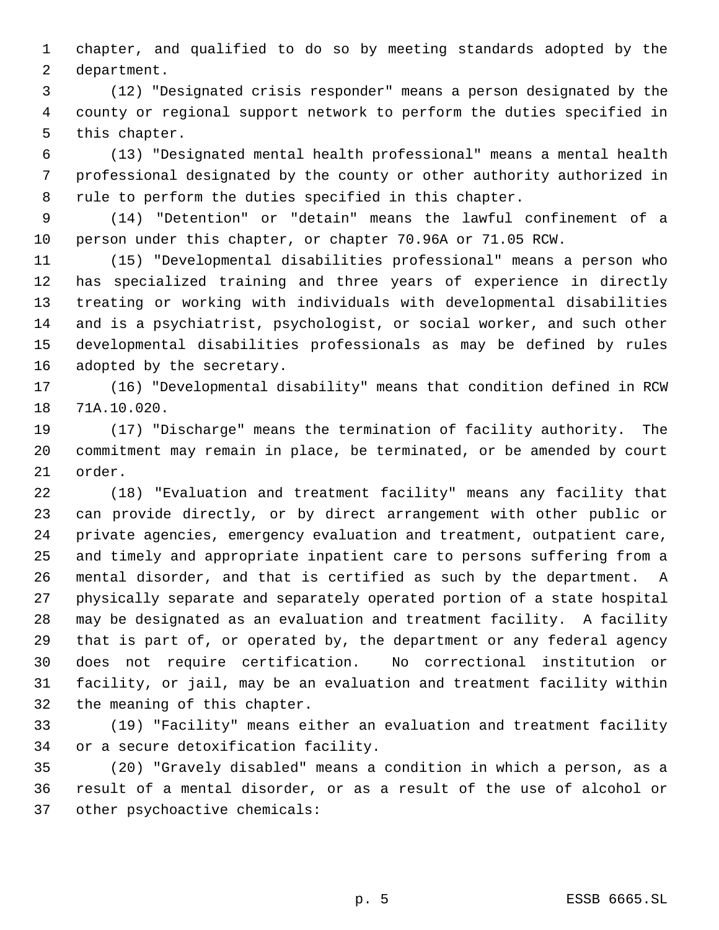chapter, and qualified to do so by meeting standards adopted by the department.

 (12) "Designated crisis responder" means a person designated by the county or regional support network to perform the duties specified in this chapter.

 (13) "Designated mental health professional" means a mental health professional designated by the county or other authority authorized in rule to perform the duties specified in this chapter.

 (14) "Detention" or "detain" means the lawful confinement of a person under this chapter, or chapter 70.96A or 71.05 RCW.

 (15) "Developmental disabilities professional" means a person who has specialized training and three years of experience in directly treating or working with individuals with developmental disabilities and is a psychiatrist, psychologist, or social worker, and such other developmental disabilities professionals as may be defined by rules adopted by the secretary.

 (16) "Developmental disability" means that condition defined in RCW 71A.10.020.

 (17) "Discharge" means the termination of facility authority. The commitment may remain in place, be terminated, or be amended by court order.

 (18) "Evaluation and treatment facility" means any facility that can provide directly, or by direct arrangement with other public or private agencies, emergency evaluation and treatment, outpatient care, and timely and appropriate inpatient care to persons suffering from a mental disorder, and that is certified as such by the department. A physically separate and separately operated portion of a state hospital may be designated as an evaluation and treatment facility. A facility that is part of, or operated by, the department or any federal agency does not require certification. No correctional institution or facility, or jail, may be an evaluation and treatment facility within the meaning of this chapter.

 (19) "Facility" means either an evaluation and treatment facility or a secure detoxification facility.

 (20) "Gravely disabled" means a condition in which a person, as a result of a mental disorder, or as a result of the use of alcohol or other psychoactive chemicals: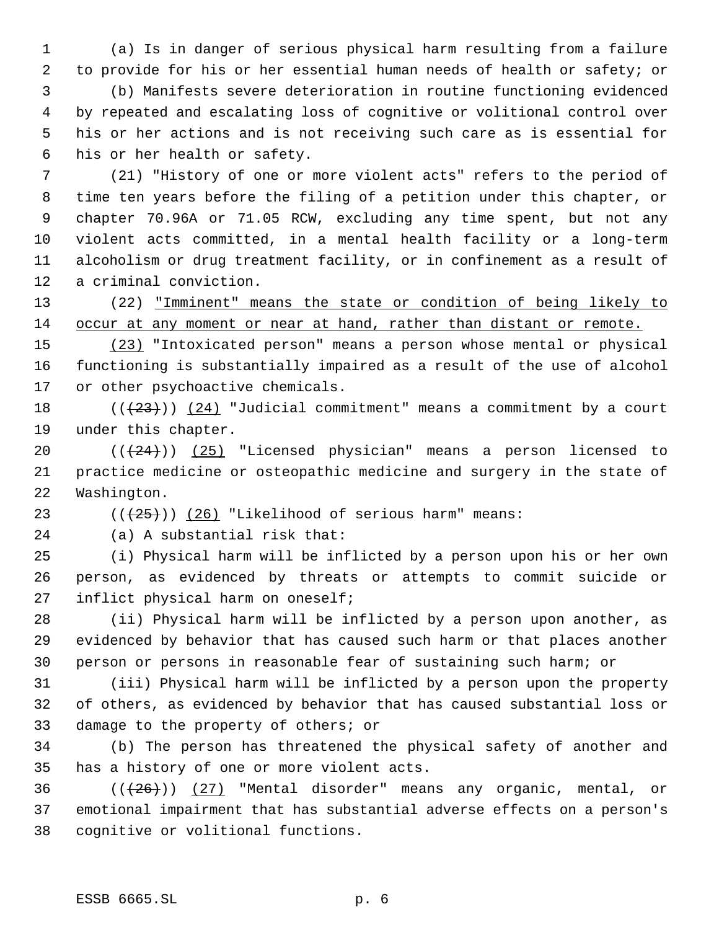(a) Is in danger of serious physical harm resulting from a failure to provide for his or her essential human needs of health or safety; or (b) Manifests severe deterioration in routine functioning evidenced by repeated and escalating loss of cognitive or volitional control over his or her actions and is not receiving such care as is essential for his or her health or safety.

 (21) "History of one or more violent acts" refers to the period of time ten years before the filing of a petition under this chapter, or chapter 70.96A or 71.05 RCW, excluding any time spent, but not any violent acts committed, in a mental health facility or a long-term alcoholism or drug treatment facility, or in confinement as a result of a criminal conviction.

 (22) "Imminent" means the state or condition of being likely to occur at any moment or near at hand, rather than distant or remote.

 (23) "Intoxicated person" means a person whose mental or physical functioning is substantially impaired as a result of the use of alcohol or other psychoactive chemicals.

18  $((+23))$   $(24)$  "Judicial commitment" means a commitment by a court under this chapter.

20  $((+24))$   $(25)$  "Licensed physician" means a person licensed to practice medicine or osteopathic medicine and surgery in the state of Washington.

23  $((+25))$   $(26)$  "Likelihood of serious harm" means:

(a) A substantial risk that:

 (i) Physical harm will be inflicted by a person upon his or her own person, as evidenced by threats or attempts to commit suicide or inflict physical harm on oneself;

 (ii) Physical harm will be inflicted by a person upon another, as evidenced by behavior that has caused such harm or that places another person or persons in reasonable fear of sustaining such harm; or

 (iii) Physical harm will be inflicted by a person upon the property of others, as evidenced by behavior that has caused substantial loss or damage to the property of others; or

 (b) The person has threatened the physical safety of another and has a history of one or more violent acts.

 $((+26))$  (27) "Mental disorder" means any organic, mental, or emotional impairment that has substantial adverse effects on a person's cognitive or volitional functions.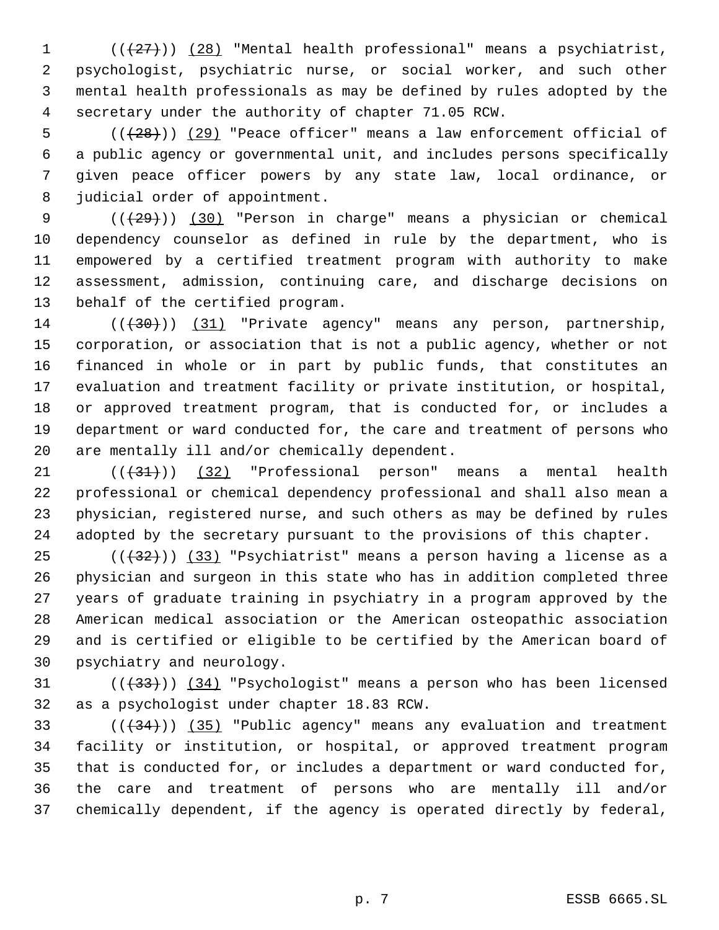(( $(27)$ )) (28) "Mental health professional" means a psychiatrist, psychologist, psychiatric nurse, or social worker, and such other mental health professionals as may be defined by rules adopted by the secretary under the authority of chapter 71.05 RCW.

 $((+28))$   $(29)$  "Peace officer" means a law enforcement official of a public agency or governmental unit, and includes persons specifically given peace officer powers by any state law, local ordinance, or judicial order of appointment.

9 (( $\left(\frac{29}{12}\right)$ ) (30) "Person in charge" means a physician or chemical dependency counselor as defined in rule by the department, who is empowered by a certified treatment program with authority to make assessment, admission, continuing care, and discharge decisions on behalf of the certified program.

14 (( $(30)$ )) (31) "Private agency" means any person, partnership, corporation, or association that is not a public agency, whether or not financed in whole or in part by public funds, that constitutes an evaluation and treatment facility or private institution, or hospital, or approved treatment program, that is conducted for, or includes a department or ward conducted for, the care and treatment of persons who are mentally ill and/or chemically dependent.

 ( $(\overline{+31})$ ) (32) "Professional person" means a mental health professional or chemical dependency professional and shall also mean a physician, registered nurse, and such others as may be defined by rules adopted by the secretary pursuant to the provisions of this chapter.

 $((+32))$   $(33)$  "Psychiatrist" means a person having a license as a physician and surgeon in this state who has in addition completed three years of graduate training in psychiatry in a program approved by the American medical association or the American osteopathic association and is certified or eligible to be certified by the American board of psychiatry and neurology.

31  $((33))$   $(34)$  "Psychologist" means a person who has been licensed as a psychologist under chapter 18.83 RCW.

 $((+34))$   $(35)$  "Public agency" means any evaluation and treatment facility or institution, or hospital, or approved treatment program that is conducted for, or includes a department or ward conducted for, the care and treatment of persons who are mentally ill and/or chemically dependent, if the agency is operated directly by federal,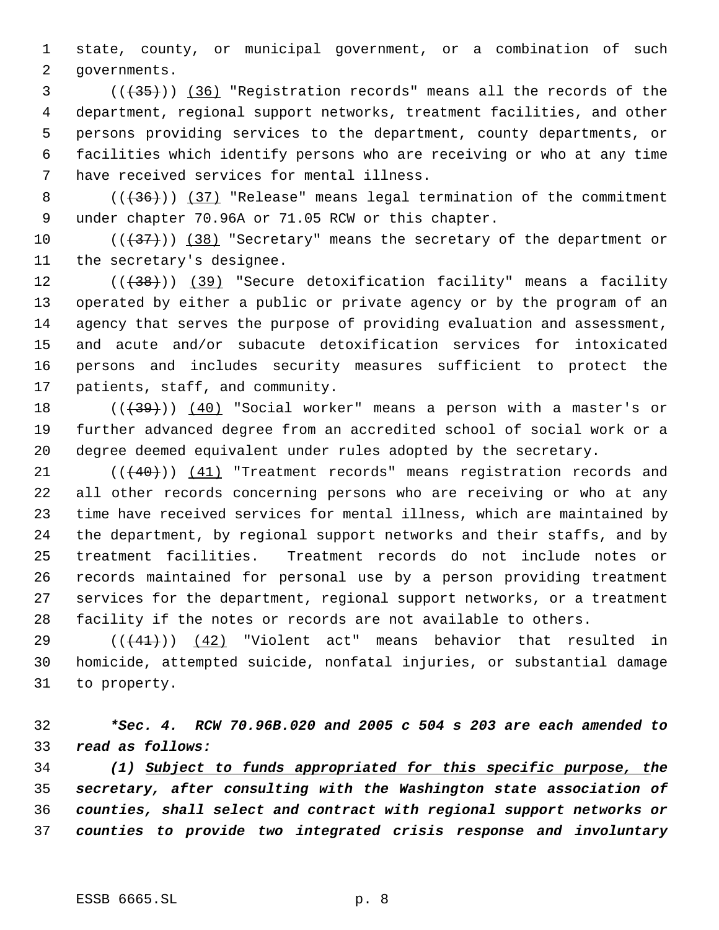state, county, or municipal government, or a combination of such governments.

3 (( $(35)$ )) (36) "Registration records" means all the records of the department, regional support networks, treatment facilities, and other persons providing services to the department, county departments, or facilities which identify persons who are receiving or who at any time have received services for mental illness.

8 (( $(36)$ )) (37) "Release" means legal termination of the commitment under chapter 70.96A or 71.05 RCW or this chapter.

 $((+37))$   $(38)$  "Secretary" means the secretary of the department or the secretary's designee.

12 (((38))) (39) "Secure detoxification facility" means a facility operated by either a public or private agency or by the program of an agency that serves the purpose of providing evaluation and assessment, and acute and/or subacute detoxification services for intoxicated persons and includes security measures sufficient to protect the patients, staff, and community.

18  $((+39))$   $(40)$  "Social worker" means a person with a master's or further advanced degree from an accredited school of social work or a degree deemed equivalent under rules adopted by the secretary.

21 (( $(40)$ )) (41) "Treatment records" means registration records and all other records concerning persons who are receiving or who at any time have received services for mental illness, which are maintained by the department, by regional support networks and their staffs, and by treatment facilities. Treatment records do not include notes or records maintained for personal use by a person providing treatment services for the department, regional support networks, or a treatment facility if the notes or records are not available to others.

 $((41))$  (42) "Violent act" means behavior that resulted in homicide, attempted suicide, nonfatal injuries, or substantial damage to property.

 *\*Sec. 4. RCW 70.96B.020 and 2005 c 504 s 203 are each amended to read as follows:*

 *(1) Subject to funds appropriated for this specific purpose, the secretary, after consulting with the Washington state association of counties, shall select and contract with regional support networks or counties to provide two integrated crisis response and involuntary*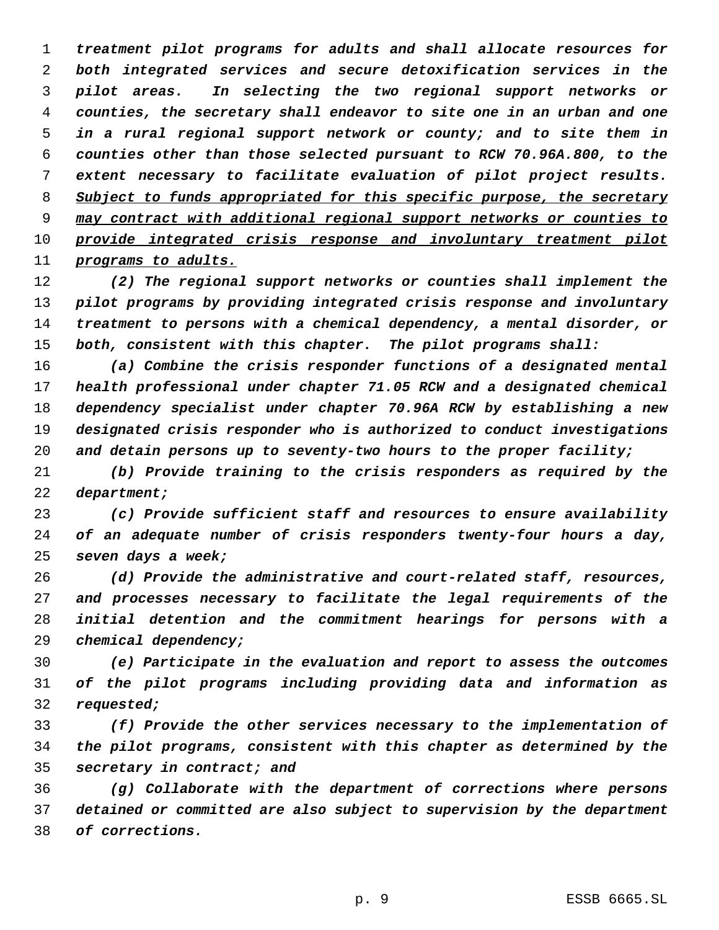*treatment pilot programs for adults and shall allocate resources for both integrated services and secure detoxification services in the pilot areas. In selecting the two regional support networks or counties, the secretary shall endeavor to site one in an urban and one in a rural regional support network or county; and to site them in counties other than those selected pursuant to RCW 70.96A.800, to the extent necessary to facilitate evaluation of pilot project results. Subject to funds appropriated for this specific purpose, the secretary may contract with additional regional support networks or counties to provide integrated crisis response and involuntary treatment pilot programs to adults.*

 *(2) The regional support networks or counties shall implement the pilot programs by providing integrated crisis response and involuntary treatment to persons with a chemical dependency, a mental disorder, or both, consistent with this chapter. The pilot programs shall:*

 *(a) Combine the crisis responder functions of a designated mental health professional under chapter 71.05 RCW and a designated chemical dependency specialist under chapter 70.96A RCW by establishing a new designated crisis responder who is authorized to conduct investigations and detain persons up to seventy-two hours to the proper facility;*

 *(b) Provide training to the crisis responders as required by the department;*

 *(c) Provide sufficient staff and resources to ensure availability of an adequate number of crisis responders twenty-four hours a day, seven days a week;*

 *(d) Provide the administrative and court-related staff, resources, and processes necessary to facilitate the legal requirements of the initial detention and the commitment hearings for persons with a chemical dependency;*

 *(e) Participate in the evaluation and report to assess the outcomes of the pilot programs including providing data and information as requested;*

 *(f) Provide the other services necessary to the implementation of the pilot programs, consistent with this chapter as determined by the secretary in contract; and*

 *(g) Collaborate with the department of corrections where persons detained or committed are also subject to supervision by the department of corrections.*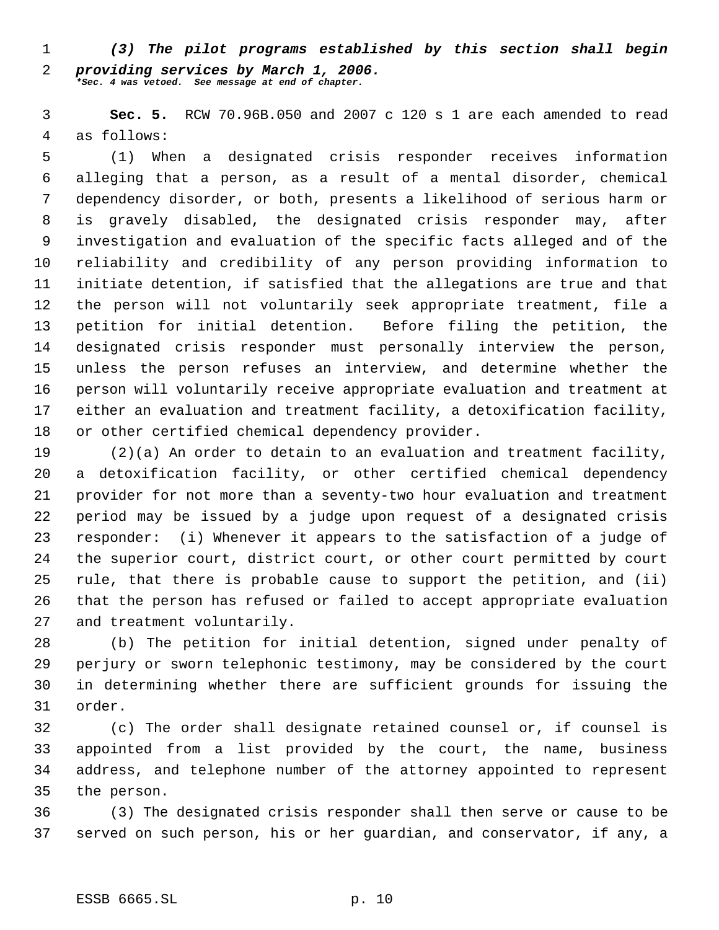*(3) The pilot programs established by this section shall begin providing services by March 1, 2006. \*Sec. 4 was vetoed. See message at end of chapter.*

 **Sec. 5.** RCW 70.96B.050 and 2007 c 120 s 1 are each amended to read as follows:

 (1) When a designated crisis responder receives information alleging that a person, as a result of a mental disorder, chemical dependency disorder, or both, presents a likelihood of serious harm or is gravely disabled, the designated crisis responder may, after investigation and evaluation of the specific facts alleged and of the reliability and credibility of any person providing information to initiate detention, if satisfied that the allegations are true and that the person will not voluntarily seek appropriate treatment, file a petition for initial detention. Before filing the petition, the designated crisis responder must personally interview the person, unless the person refuses an interview, and determine whether the person will voluntarily receive appropriate evaluation and treatment at either an evaluation and treatment facility, a detoxification facility, or other certified chemical dependency provider.

 (2)(a) An order to detain to an evaluation and treatment facility, a detoxification facility, or other certified chemical dependency provider for not more than a seventy-two hour evaluation and treatment period may be issued by a judge upon request of a designated crisis responder: (i) Whenever it appears to the satisfaction of a judge of the superior court, district court, or other court permitted by court rule, that there is probable cause to support the petition, and (ii) that the person has refused or failed to accept appropriate evaluation and treatment voluntarily.

 (b) The petition for initial detention, signed under penalty of perjury or sworn telephonic testimony, may be considered by the court in determining whether there are sufficient grounds for issuing the order.

 (c) The order shall designate retained counsel or, if counsel is appointed from a list provided by the court, the name, business address, and telephone number of the attorney appointed to represent the person.

 (3) The designated crisis responder shall then serve or cause to be served on such person, his or her guardian, and conservator, if any, a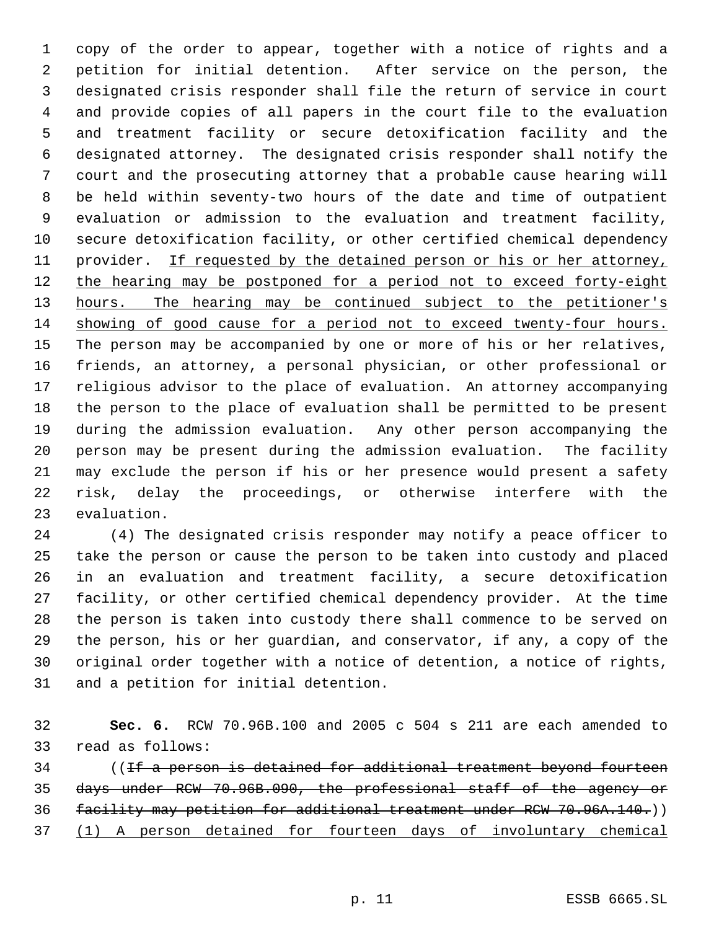copy of the order to appear, together with a notice of rights and a petition for initial detention. After service on the person, the designated crisis responder shall file the return of service in court and provide copies of all papers in the court file to the evaluation and treatment facility or secure detoxification facility and the designated attorney. The designated crisis responder shall notify the court and the prosecuting attorney that a probable cause hearing will be held within seventy-two hours of the date and time of outpatient evaluation or admission to the evaluation and treatment facility, secure detoxification facility, or other certified chemical dependency 11 provider. If requested by the detained person or his or her attorney, 12 the hearing may be postponed for a period not to exceed forty-eight 13 hours. The hearing may be continued subject to the petitioner's showing of good cause for a period not to exceed twenty-four hours. The person may be accompanied by one or more of his or her relatives, friends, an attorney, a personal physician, or other professional or religious advisor to the place of evaluation. An attorney accompanying the person to the place of evaluation shall be permitted to be present during the admission evaluation. Any other person accompanying the person may be present during the admission evaluation. The facility may exclude the person if his or her presence would present a safety risk, delay the proceedings, or otherwise interfere with the evaluation.

 (4) The designated crisis responder may notify a peace officer to take the person or cause the person to be taken into custody and placed in an evaluation and treatment facility, a secure detoxification facility, or other certified chemical dependency provider. At the time the person is taken into custody there shall commence to be served on the person, his or her guardian, and conservator, if any, a copy of the original order together with a notice of detention, a notice of rights, and a petition for initial detention.

 **Sec. 6.** RCW 70.96B.100 and 2005 c 504 s 211 are each amended to read as follows:

 ((If a person is detained for additional treatment beyond fourteen days under RCW 70.96B.090, the professional staff of the agency or facility may petition for additional treatment under RCW 70.96A.140.)) (1) A person detained for fourteen days of involuntary chemical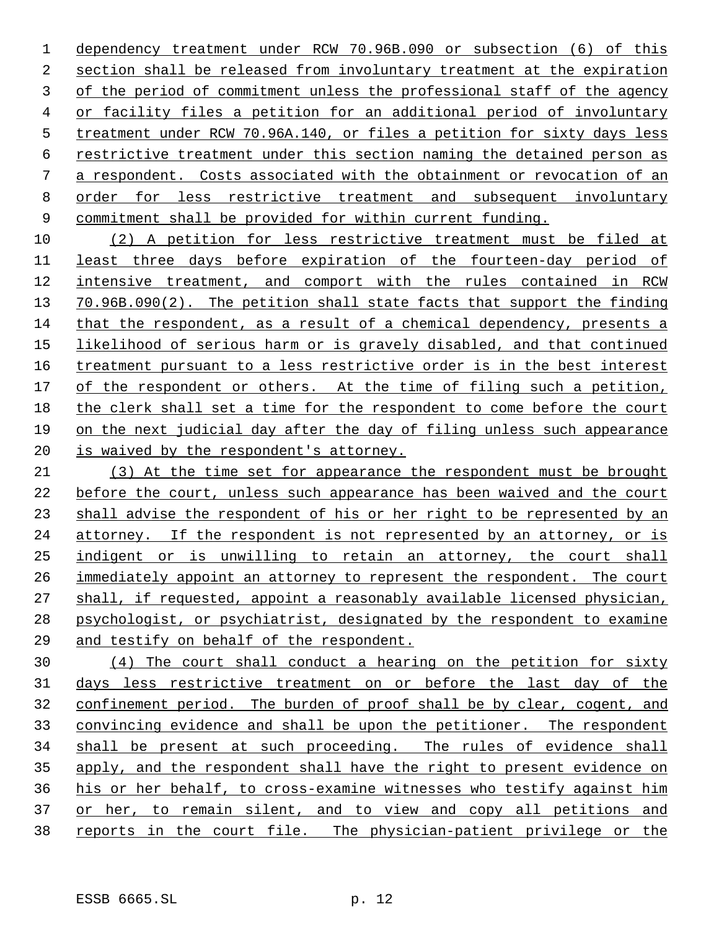dependency treatment under RCW 70.96B.090 or subsection (6) of this section shall be released from involuntary treatment at the expiration of the period of commitment unless the professional staff of the agency or facility files a petition for an additional period of involuntary treatment under RCW 70.96A.140, or files a petition for sixty days less restrictive treatment under this section naming the detained person as a respondent. Costs associated with the obtainment or revocation of an order for less restrictive treatment and subsequent involuntary commitment shall be provided for within current funding.

 (2) A petition for less restrictive treatment must be filed at least three days before expiration of the fourteen-day period of intensive treatment, and comport with the rules contained in RCW 70.96B.090(2). The petition shall state facts that support the finding that the respondent, as a result of a chemical dependency, presents a likelihood of serious harm or is gravely disabled, and that continued 16 treatment pursuant to a less restrictive order is in the best interest of the respondent or others. At the time of filing such a petition, the clerk shall set a time for the respondent to come before the court on the next judicial day after the day of filing unless such appearance is waived by the respondent's attorney.

 (3) At the time set for appearance the respondent must be brought before the court, unless such appearance has been waived and the court shall advise the respondent of his or her right to be represented by an attorney. If the respondent is not represented by an attorney, or is indigent or is unwilling to retain an attorney, the court shall immediately appoint an attorney to represent the respondent. The court shall, if requested, appoint a reasonably available licensed physician, psychologist, or psychiatrist, designated by the respondent to examine and testify on behalf of the respondent.

 (4) The court shall conduct a hearing on the petition for sixty days less restrictive treatment on or before the last day of the confinement period. The burden of proof shall be by clear, cogent, and convincing evidence and shall be upon the petitioner. The respondent shall be present at such proceeding. The rules of evidence shall apply, and the respondent shall have the right to present evidence on his or her behalf, to cross-examine witnesses who testify against him 37 or her, to remain silent, and to view and copy all petitions and 38 reports in the court file. The physician-patient privilege or the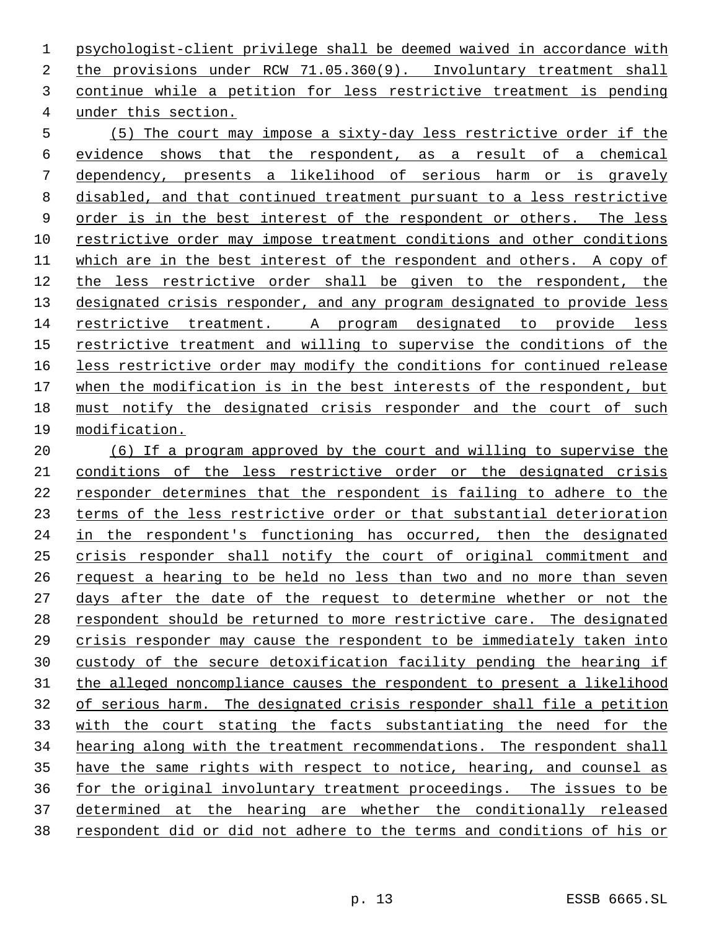psychologist-client privilege shall be deemed waived in accordance with the provisions under RCW 71.05.360(9). Involuntary treatment shall continue while a petition for less restrictive treatment is pending under this section.

 (5) The court may impose a sixty-day less restrictive order if the evidence shows that the respondent, as a result of a chemical dependency, presents a likelihood of serious harm or is gravely disabled, and that continued treatment pursuant to a less restrictive order is in the best interest of the respondent or others. The less restrictive order may impose treatment conditions and other conditions which are in the best interest of the respondent and others. A copy of the less restrictive order shall be given to the respondent, the 13 designated crisis responder, and any program designated to provide less restrictive treatment. A program designated to provide less restrictive treatment and willing to supervise the conditions of the less restrictive order may modify the conditions for continued release when the modification is in the best interests of the respondent, but must notify the designated crisis responder and the court of such modification.

 (6) If a program approved by the court and willing to supervise the conditions of the less restrictive order or the designated crisis responder determines that the respondent is failing to adhere to the terms of the less restrictive order or that substantial deterioration in the respondent's functioning has occurred, then the designated crisis responder shall notify the court of original commitment and request a hearing to be held no less than two and no more than seven days after the date of the request to determine whether or not the respondent should be returned to more restrictive care. The designated crisis responder may cause the respondent to be immediately taken into custody of the secure detoxification facility pending the hearing if the alleged noncompliance causes the respondent to present a likelihood of serious harm. The designated crisis responder shall file a petition with the court stating the facts substantiating the need for the hearing along with the treatment recommendations. The respondent shall have the same rights with respect to notice, hearing, and counsel as for the original involuntary treatment proceedings. The issues to be determined at the hearing are whether the conditionally released respondent did or did not adhere to the terms and conditions of his or